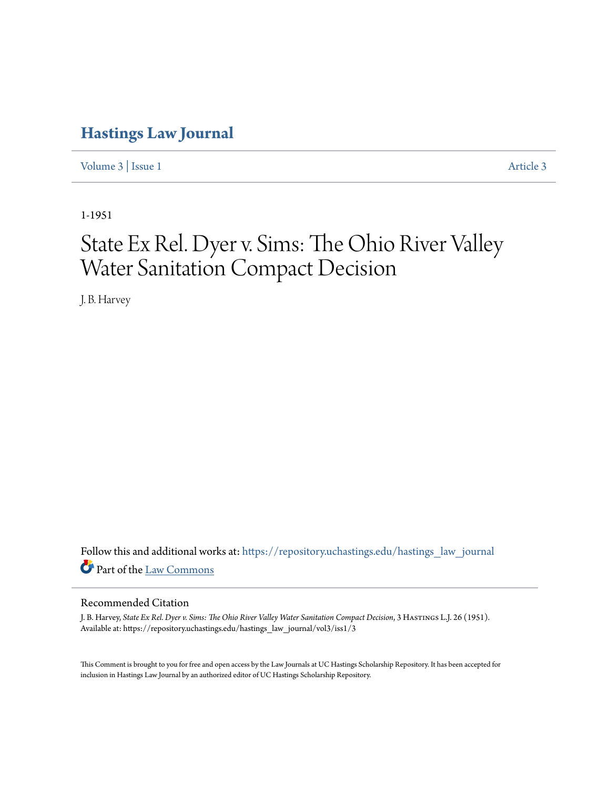# **[Hastings Law Journal](https://repository.uchastings.edu/hastings_law_journal?utm_source=repository.uchastings.edu%2Fhastings_law_journal%2Fvol3%2Fiss1%2F3&utm_medium=PDF&utm_campaign=PDFCoverPages)**

[Volume 3](https://repository.uchastings.edu/hastings_law_journal/vol3?utm_source=repository.uchastings.edu%2Fhastings_law_journal%2Fvol3%2Fiss1%2F3&utm_medium=PDF&utm_campaign=PDFCoverPages) | [Issue 1](https://repository.uchastings.edu/hastings_law_journal/vol3/iss1?utm_source=repository.uchastings.edu%2Fhastings_law_journal%2Fvol3%2Fiss1%2F3&utm_medium=PDF&utm_campaign=PDFCoverPages) [Article 3](https://repository.uchastings.edu/hastings_law_journal/vol3/iss1/3?utm_source=repository.uchastings.edu%2Fhastings_law_journal%2Fvol3%2Fiss1%2F3&utm_medium=PDF&utm_campaign=PDFCoverPages)

1-1951

# State Ex Rel. Dyer v. Sims: The Ohio River Valley Water Sanitation Compact Decision

J. B. Harvey

Follow this and additional works at: [https://repository.uchastings.edu/hastings\\_law\\_journal](https://repository.uchastings.edu/hastings_law_journal?utm_source=repository.uchastings.edu%2Fhastings_law_journal%2Fvol3%2Fiss1%2F3&utm_medium=PDF&utm_campaign=PDFCoverPages) Part of the [Law Commons](http://network.bepress.com/hgg/discipline/578?utm_source=repository.uchastings.edu%2Fhastings_law_journal%2Fvol3%2Fiss1%2F3&utm_medium=PDF&utm_campaign=PDFCoverPages)

### Recommended Citation

J. B. Harvey, *State Ex Rel. Dyer v. Sims: The Ohio River Valley Water Sanitation Compact Decision*, 3 Hastings L.J. 26 (1951). Available at: https://repository.uchastings.edu/hastings\_law\_journal/vol3/iss1/3

This Comment is brought to you for free and open access by the Law Journals at UC Hastings Scholarship Repository. It has been accepted for inclusion in Hastings Law Journal by an authorized editor of UC Hastings Scholarship Repository.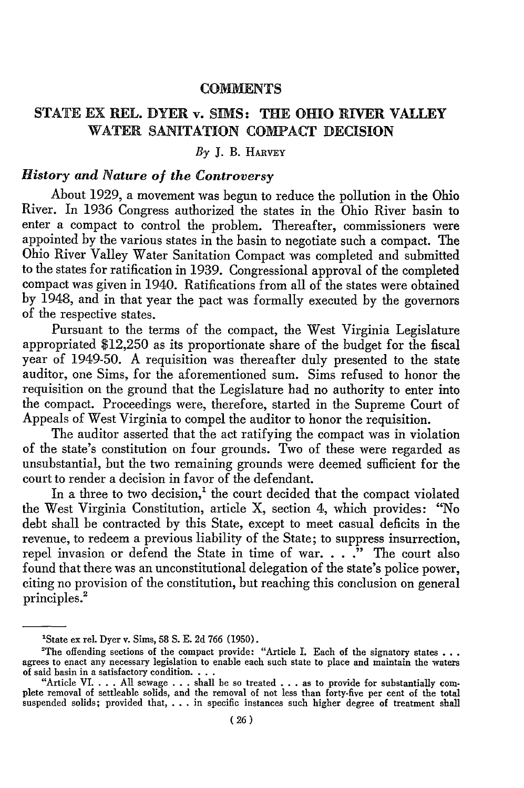#### **COMMENTS**

# **STATE** EX REL. DYER v. **SIMS:** THE OHIO RIVER **VALLEY** WATER **SANITATION COMPACT DECISION**

### $B_Y$  **J. B. HARVEY**

# *History and Nature of the Controversy*

About 1929, a movement was begun to reduce the pollution in the Ohio River. In 1936 Congress authorized the states in the Ohio River basin to enter a compact to control the problem. Thereafter, commissioners were appointed by the various states in the basin to negotiate such a compact. The Ohio River Valley Water Sanitation Compact was completed and submitted to the states for ratification in 1939. Congressional approval of the completed compact was given in 1940. Ratifications from all of the states were obtained by 1948, and in that year the pact was formally executed by the governors of the respective states.

Pursuant to the terms of the compact, the West Virginia Legislature appropriated \$12,250 as its proportionate share of the budget for the fiscal year of 1949-50. A requisition was thereafter duly presented to the state auditor, one Sims, for the aforementioned sum. Sims refused to honor the requisition on the ground that the Legislature had no authority to enter into the compact. Proceedings were, therefore, started in the Supreme Court of Appeals of West Virginia to compel the auditor to honor the requisition.

The auditor asserted that the act ratifying the compact was in violation of the state's constitution on four grounds. Two of these were regarded as unsubstantial, but the two remaining grounds were deemed sufficient for the court to render a decision in favor of the defendant.

In a three to two decision, $<sup>1</sup>$  the court decided that the compact violated</sup> the West Virginia Constitution, article X, section 4, which provides: "No debt shall be contracted by this State, except to meet casual deficits in the revenue, to redeem a previous liability of the State; to suppress insurrection, repel invasion or defend the State in time of war. . . .<sup>\*</sup> The court also found that there was an unconstitutional delegation of the state's police power, citing no provision of the constitution, but reaching this conclusion on general principles.<sup>2</sup>

<sup>&#</sup>x27;State ex rel. Dyer v. Sims, 58 **S.** E. 2d 766 (1950).

<sup>&</sup>lt;sup>2</sup>The offending sections of the compact provide: "Article I. Each of the signatory states **...** agrees to enact any necessary legislation to enable each such state to place and maintain the waters of said basin in a satisfactory condition **...** "Article **VI.** . **.** . All sewage . **.** . shall **be** so treated . . **.** as to provide for substantially com-

plete removal of settleable solids, and the removal of not less than forty-five per cent of the total suspended solids; provided that, . . . in specific instances such higher degree of treatment shall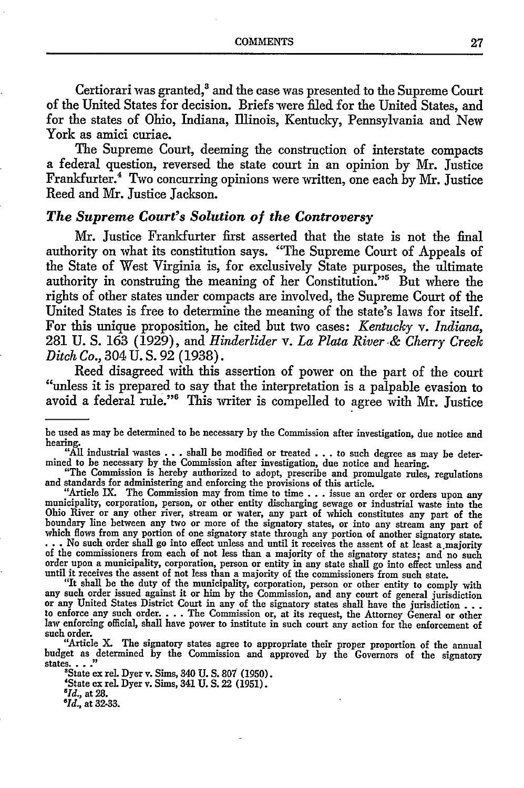Certiorari was granted,<sup>3</sup> and the case was presented to the Supreme Court of the United States for decision. Briefs were filed for the United States, and for the states of Ohio, Indiana, Illinois, Kentucky, Pennsylvania and New York as amici curiae.

The Supreme Court, deeming the construction of interstate compacts a federal question, reversed the state court in an opinion by Mr. Justice Frankfurter.<sup>4</sup> Two concurring opinions were written, one each by Mr. Justice Reed and Mr. Justice Jackson.

## *The Supreme Court's Solution of the Controversy*

Mr. Justice Frankfurter first asserted that the state is not the final authority on what its constitution says. "The Supreme Court of Appeals of the State of West Virginia is, for exclusively State purposes, the ultimate authority in construing the meaning of her Constitution."5 But where the rights of other states under compacts are involved, the Supreme Court of the United States is free to determine the meaning of the state's laws for itself. For this unique proposition, he cited but two cases: *Kentucky v. Indiana,* 281 U. **S.** 163 (1929), and *Hinderlider v. La Plata River-& Cherry Creek Ditch Co.,* 304 U. S. 92 (1938).

Reed disagreed with this assertion of power on the part of the court "unless it is prepared to say that the interpretation is a palpable evasion to avoid a federal rule."<sup>6</sup> This writer is compelled to agree with Mr. Justice

"All industrial wastes .**.**.shall be modified or treated .**..** to such degree as may be determined to be necessary by the Commission after investigation, due notice and hearing.

"The Commission is hereby authorized to adopt, prescribe and promulgate rules, regulations and standards for administering and enforcing the provisions of this article.

"Article IX. The Commission may from time to time ... issue an order or orders upon any municipality, corporation, person, or other entity discharging sewage or industrial waste into the Ohio River or any other river, stream or water, any part of which constitutes any part of the boundary line between any two or more of the signatory states, or into any stream any part of which flows from any portion of one signatory state through any portion of another signatory state. ... No such order shall go into effect unless and until it receives the assent of at least a majority of the commissioners from each of not less than a majority of the signatory states; and no such order upon a municipality, corporation, person or entity in any state shall go into effect unless and until it receives the assent of not less than a majority of the commissioners from such state.

"It shall be the duty of the municipality, corporation, person or other entity to comply with any such order issued against it or him by the Commission, and any court of general jurisdiction or any United States District Court in any of the signatory states shall have the jurisdiction... to enforce any such order. **. .** .The Commission or, at its request, the Attorney General or other law enforcing official, shall have power to institute in such court any action for the enforcement of such order.

"Article X. The signatory states agree to appropriate their proper proportion of the annual budget as determined by the Commission and approved by the Governors of the signatory states. **. ."**

'State ex rel. Dyer v. Sims, 340 **U. S.** 807 (1950). "State cx rel. Dyer v. Sims, 341 **U.** S. 22 (1951). *'Id.,* at 28.

*'Id.,* at 32-33.

be used as may be determined to be necessary by the Commission after investigation, due notice and hearing.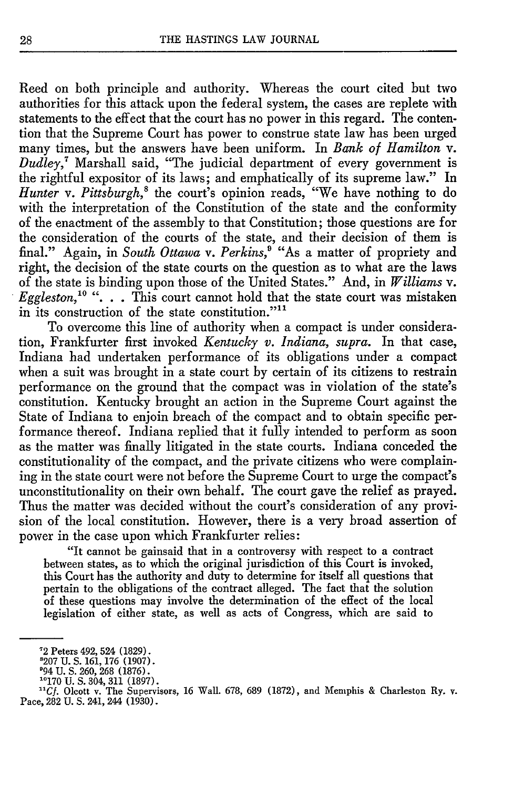Reed on both principle and authority. Whereas the court cited but two authorities for this attack upon the federal system, the cases are replete with statements to the effect that the court has no power in this regard. The contention that the Supreme Court has power to construe state law has been urged many times, but the answers have been uniform. In *Bank of Hamilton* v. *Dudley,7* Marshall said, "The judicial department of every government is the rightful expositor of its laws; and emphatically of its supreme law." In Hunter v. Pittsburgh,<sup>8</sup> the court's opinion reads, "We have nothing to do with the interpretation of the Constitution of the state and the conformity of the enactment of the assembly to that Constitution; those questions are for the consideration of the courts of the state, and their decision of them is final." Again, in *South Ottawa v. Perkins,'* "As a matter of propriety and right, the decision of the state courts on the question as to what are the laws of the state is binding upon those of the United States." And, in *Williams v. Eggleston,"°* ". **.** . This court cannot hold that the state court was mistaken in its construction of the state constitution."<sup>11</sup>

To overcome this line of authority when a compact is under consideration, Frankfurter first invoked *Kentucky v. Indiana, supra.* In that case, Indiana had undertaken performance of its obligations under a compact when a suit was brought in a state court by certain of its citizens to restrain performance on the ground that the compact was in violation of the state's constitution. Kentucky brought an action in the Supreme Court against the State of Indiana to enjoin breach of the compact and to obtain specific performance thereof. Indiana replied that it fully intended to perform as soon as the matter was finally litigated in the state courts. Indiana conceded the constitutionality of the compact, and the private citizens who were complaining in the state court were not before the Supreme Court to urge the compact's unconstitutionality on their own behalf. The court gave the relief as prayed. Thus the matter was decided without the court's consideration of any provision of the local constitution. However, there is a very broad assertion of power in the case upon which Frankfurter relies:

"It cannot be gainsaid that in a controversy with respect to a contract between states, as to which the original jurisdiction of this Court is invoked, this Court has the authority and duty to determine for itself all questions that pertain to the obligations of the contract alleged. The fact that the solution of these questions may involve the determination of the effect of the local legislation of either state, as well as acts of Congress, which are said to

<sup>&#</sup>x27;2 Peters 492, 524 (1829). 8207 U. **S.** 161, 176 (1907).

<sup>094</sup> U. **S.** 260, **268** (1876). **10170** U.S. 304, 311 (1897).

**<sup>&</sup>quot;Cf.** Olcott v. The Supervisors, 16 Wall. 678, 689 (1872), and Memphis & Charleston Ry. v. Pace, 282 U.S. 241, 244 (1930).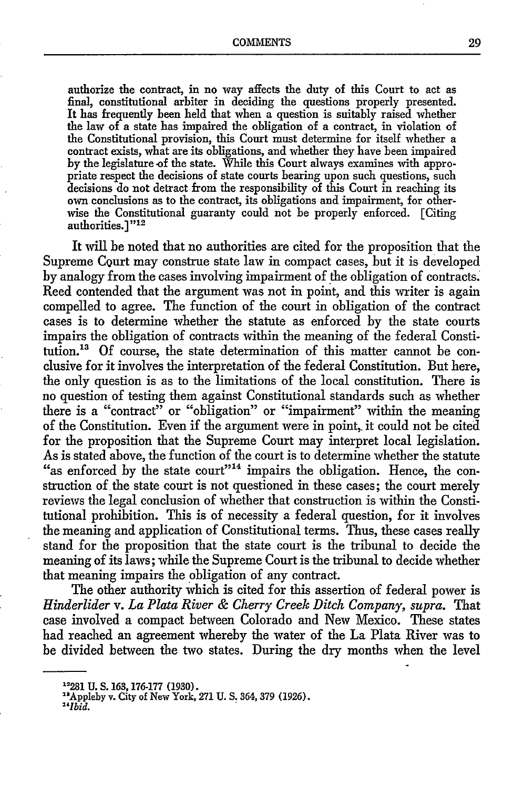authorize the contract, in no way affects the duty of this Court to act as final, constitutional arbiter in deciding the questions properly presented. It has frequently been held that when a question is suitably raised whether the law of a state has impaired the obligation of a contract, in violation of the Constitutional provision, this Court must determine for itself whether a contract exists, what are its obligations, and whether they have been impaired by the legislature of the state. While this Court always examines with appropriate respect the decisions of state courts bearing upon such questions, such decisions do not detract from the responsibility of this Court in reaching its own conclusions as to the contract, its obligations and impairment, for otherwise the Constitutional guaranty could not be properly enforced. [Citing authorities.<sup>1"12</sup>

It will be noted that no authorities are cited for the proposition that the Supreme CQurt may construe state law in compact cases, but it is developed by analogy from the cases involving impairment of the obligation of contracts.: Reed contended that the argument was not in point, and this writer is again compelled to agree. The function of the court in obligation of the contract cases is to determine whether the statute as enforced by the state courts impairs the obligation of contracts within the meaning of the federal Constitution."3 Of course, the state determination of this matter cannot be conclusive for it involves the interpretation of the federal Constitution. But here, the only question is as to the limitations of the local constitution. There is no question of testing them against Constitutional standards such as whether there is a "contract" or "obligation" or "impairment" within the meaning of the Constitution. Even if the argument were in point, it could not be cited for the proposition that the Supreme Court may interpret local legislation. As is stated above, the function of the court is to determine whether the statute "as enforced by the state court"<sup>14</sup> impairs the obligation. Hence, the construction of the state court is not questioned in these cases; the court merely reviews the legal conclusion of whether that construction is within the Constitutional prohibition. This is of necessity a federal question, for it involves the meaning and application of Constitutional terms. Thus, these cases really stand for the proposition that the state court is the tribunal to decide the meaning of its laws; while the Supreme Court is the tribunal to decide whether that meaning impairs the obligation of any contract.

The other authority which is cited for this assertion of federal power is *Hinderlider v. La Plata River & Cherry Creek Ditch Company, supra.* That case involved a compact between Colorado and New Mexico. These states had reached an agreement whereby the water of the La Plata River was to be divided between the two states. During the dry months when the level

u<sub>2</sub><br><sup>12</sup> Appleby v. City of New York

Appleby v. City of New York, 271 U. **S.** 364, 379 (1926).

*Ibid.*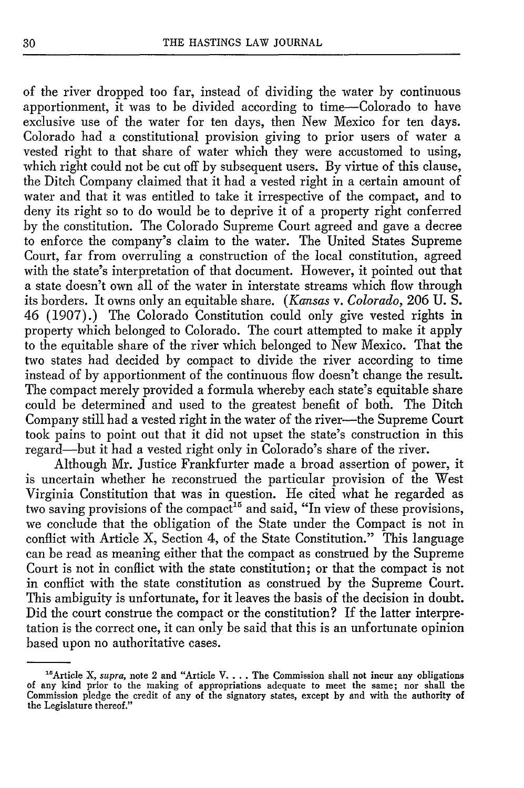of the river dropped too far, instead of dividing the water **by** continuous apportionment, it was to be divided according to time-Colorado to have exclusive use of the water for ten days, then New Mexico for ten days. Colorado had a constitutional provision giving to prior users of water a vested right to that share of water which they were accustomed to using, which right could not be cut off by subsequent users. By virtue of this clause, the Ditch Company claimed that it had a vested right in a certain amount of water and that it was entitled to take it irrespective of the compact, and to deny its right so to do would be to deprive it of a property right conferred by the constitution. The Colorado Supreme Court agreed and gave a decree to enforce the company's claim to the water. The United States Supreme Court, far from overruling a construction of the local constitution, agreed with the state's interpretation of that document. However, it pointed out that a state doesn't own all of the water in interstate streams which flow through its borders. It owns only an equitable share. *(Kansas v. Colorado,* 206 U. S. 46 (1907).) The Colorado Constitution could only give vested rights in property which belonged to Colorado. The court attempted to make it apply to the equitable share of the river which belonged to New Mexico. That the two states had decided by compact to divide the river according to time instead of by apportionment of the continuous flow doesn't change the result. The compact merely provided a formula whereby each state's equitable share could be determined and used to the greatest benefit of both. The Ditch Company still had a vested right in the water of the river--- the Supreme Court took pains to point out that it did not upset the state's construction in this regard-but it had a vested right only in Colorado's share of the river.

Although Mr. Justice Frankfurter made a broad assertion of power, it is uncertain whether he reconstrued the particular provision of the West Virginia Constitution that was in question. He cited what he regarded as two saving provisions of the compact<sup>15</sup> and said, "In view of these provisions, we conclude that the obligation of the State under the Compact is not in conflict with Article X, Section 4, of the State Constitution." This language can be read as meaning either that the compact as construed by the Supreme Court is not in conflict with the state constitution; or that the compact is not in conflict with the state constitution as construed by the Supreme Court. This ambiguity is unfortunate, for it leaves the basis of the decision in doubt. Did the court construe the compact or the constitution? If the latter interpretation is the correct one, it can only be said that this is an unfortunate opinion based upon no authoritative cases.

<sup>&</sup>quot; 5Article X, *supra,* note 2 and "Article V.... The Commission shall not incur any obligations of any kind prior to the making of appropriations adequate to meet the same; nor **shall** the Commission pledge the credit of any of the signatory states, except **by** and with the authority of the Legislature thereof."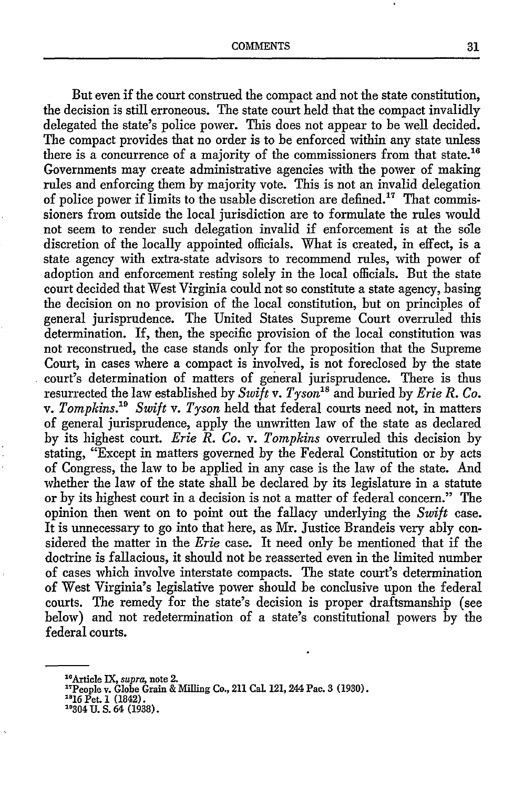But even if the court construed the compact and not the state constitution, the decision is still erroneous. The state court held that the compact invalidly delegated the state's police power. This does not appear to be well decided. The compact provides that no order is to be enforced within any state unless there is a concurrence of a majority of the commissioners from that state.<sup>16</sup> Governments may create administrative agencies with the power of making rules and enforcing them by majority vote. This is not an invalid delegation of police power if limits to the usable discretion are defined.<sup>17</sup> That commissioners from outside the local jurisdiction are to formulate the rules would not seem to render such delegation invalid if enforcement is at the sole discretion of the locally appointed officials. What is created, in effect, is a state agency with extra-state advisors to recommend rules, with power of adoption and enforcement resting solely in the local officials. But the state court decided that West Virginia could not so constitute a state agency, basing the decision on no provision of the local constitution, but on principles of general jurisprudence. The United States Supreme Court overruled this determination. If, then, the specific provision of the local constitution was not reconstrued, the case stands only for the proposition that the Supreme Court, in cases where a compact is involved, is not foreclosed by the state court's determination of matters of general jurisprudence. There is thus resurrected the law established by *Swift v. Tyson"8* and buried by *Erie R. Co. v. Tompkins. 9 Swift v. Tyson* held that federal courts need not, in matters of general jurisprudence, apply the unwritten law of the state as declared by its highest court. *Erie R. Co. v. Tompkins* overruled this decision by stating, "Except in matters governed by the Federal Constitution or by acts of Congress, the law to be applied in any case is the law of the state. And whether the law of the state shall be declared by its legislature in a statute or by its highest court in a decision is not a matter of federal concern." The opinion then went on to point out the fallacy underlying the *Swift* case. It is unnecessary to go into that here, as Mr. Justice Brandeis very ably considered the matter in the *Erie* case. It need only be mentioned that if the doctrine is fallacious, it should not be reasserted even in the limited number of cases which involve interstate compacts. The state court's determination of West Virginia's legislative power should be conclusive upon the federal courts. The remedy for the state's decision is proper draftsmanship (see below) and not redetermination of a state's constitutional powers by the federal courts.

<sup>&</sup>lt;sup>16</sup> Article IX, *supra*, note 2.<br><sup>17</sup> Paralau Clabe Cuin <sup>8</sup>

<sup>&</sup>lt;sup>17</sup>People v. Ġlobe Ġrain & Milling Co., 211 Cal. 121, 244 Pac. 3 (1930)<br><sup>18</sup>16 Pet. 1 (1842).<br><sup>19304 ULS. 64 (1938)</sup>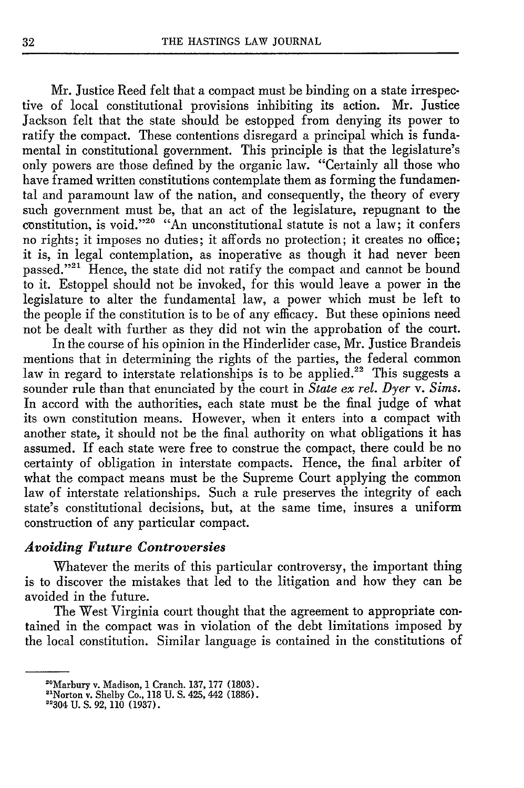Mr. Justice Reed felt that a compact must be binding on a state irrespective of local constitutional provisions inhibiting its action. Mr. Justice Jackson felt that the state should be estopped from denying its power to ratify the compact. These contentions disregard a principal which is fundamental in constitutional government. This principle is that the legislature's only powers are those defined by the organic law. "Certainly all those who have framed written constitutions contemplate them as forming the fundamental and paramount law of the nation, and consequently, the theory of every such government must be, that an act of the legislature, repugnant to the constitution, is void."<sup>20</sup> "An unconstitutional statute is not a law; it confers no rights; it imposes no duties; it affords no protection; it creates no office; it is, in legal contemplation, as inoperative as though it bad never been passed."<sup>21</sup> Hence, the state did not ratify the compact and cannot be bound to it. Estoppel should not be invoked, for this would leave a power in the legislature to alter the fundamental law, a power which must be left to the people if the constitution is to be of any efficacy. But these opinions need not be dealt with further as they did not win the approbation of the court.

In the course of his opinion in the Hinderlider case, Mr. Justice Brandeis mentions that in determining the rights of the parties, the federal common law in regard to interstate relationships is to be applied.<sup>22</sup> This suggests a sounder rule than that enunciated by the court in *State ex rel. Dyer v. Sims.* In accord with the authorities, each state must be the final judge of what its own constitution means. However, when it enters into a compact with another state, it should not be the final authority on what obligations it has assumed. If each state were free to construe the compact, there could be no certainty of obligation in interstate compacts. Hence, the final arbiter of what the compact means must be the Supreme Court applying the common law of interstate relationships. Such a rule preserves the integrity of each state's constitutional decisions, but, at the same time, insures a uniform construction of any particular compact.

# *Avoiding Future Controversies*

Whatever the merits of this particular controversy, the important thing is to discover the mistakes that led to the litigation and how they can be avoided in the future.

The West Virginia court thought that the agreement to appropriate contained in the compact was in violation of the debt limitations imposed by the local constitution. Similar language is contained in the constitutions of

<sup>&</sup>lt;sup>20</sup>Marbury v. Madison, 1 Cranch. 137, 177 (1803).<br><sup>2131</sup> 111 112 112 112 112 112 112 (1996).

<sup>&</sup>lt;sup>21</sup>Norton v. Shelby Co., 118 U. S. 425, 442 (1886).<br><sup>22304</sub> U.S. 92, 110 (1937).</sup>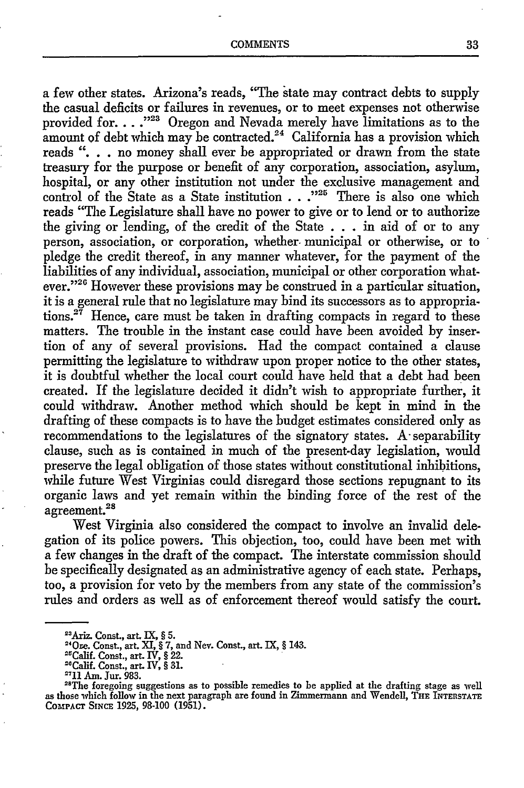a few other states. Arizona's reads, "The state may contract debts to supply the casual deficits or failures in revenues, or to meet expenses not otherwise provided for ... .<sup>223</sup> Oregon and Nevada merely have limitations as to the amount of debt which may be contracted.<sup>24</sup> California has a provision which reads **".** no money shall ever be appropriated or drawn from the state treasury for the purpose or benefit of any corporation, association, asylum, hospital, or any other institution not under the exclusive management and control of the State as a State institution **...**<sup>225</sup> There is also one which reads "The Legislature shall have no power to give or to lend or to authorize the giving or lending, of the credit of the State **. . .** in aid of or to any person, association, or corporation, whether municipal or otherwise, or to pledge the credit thereof, in any manner whatever, for the payment of the liabilities of any individual, association, municipal or other corporation whatever."<sup>26</sup> However these provisions may be construed in a particular situation, it is a general rule that no legislature may bind its successors as to appropriations.<sup>27</sup> Hence, care must be taken in drafting compacts in regard to these matters. The trouble in the instant case could have been avoided by insertion of any of several provisions. Had the compact contained a clause permitting the legislature to withdraw upon proper notice to the other states, it is doubtful whether the local court could have held that a debt had been created. If the legislature decided it didn't wish to appropriate further, it could withdraw. Another method which should be kept in mind in the drafting of these compacts is to have the budget estimates considered only as recommendations to the legislatures of the signatory states. **A-** separability clause, such as is contained in much of the present-day legislation, would preserve the legal obligation of those states without constitutional inhibitions, while future West Virginias could disregard those sections repugnant to its organic laws and yet remain within the binding force of the rest of the  $\alpha$ greement.<sup>28</sup>

West Virginia also considered the compact to involve an invalid delegation of its police powers. This objection, too, could have been met with a few changes in the draft of the compact. The interstate commission should be specifically designated as an administrative agency of each state. Perhaps, too, a provision for veto by the members from any state of the commission's rules and orders as well as of enforcement thereof would satisfy the court.

<sup>&</sup>quot;'Ariz. Conast., art. IX, § **5.**

**<sup>0</sup>r e.** Const., art. **XI,** § **7,** and Nev. Const., art. IX, § 143.

<sup>&</sup>lt;sup>25</sup>Calif. Const., art. IV, § 22.

<sup>&</sup>quot;Calif. Const., art. **IV,** § **31.**

<sup>&</sup>quot;'11 **Am.** Jur. 983.

<sup>&</sup>lt;sup>28</sup>The foregoing suggestions as to possible remedies to be applied at the drafting stage as well as those which follow in the next paragraph are found in Zimmermann and Wendell, THE INTERSTATE **COMPACT SINCE 1925, 98-100 (1951).**